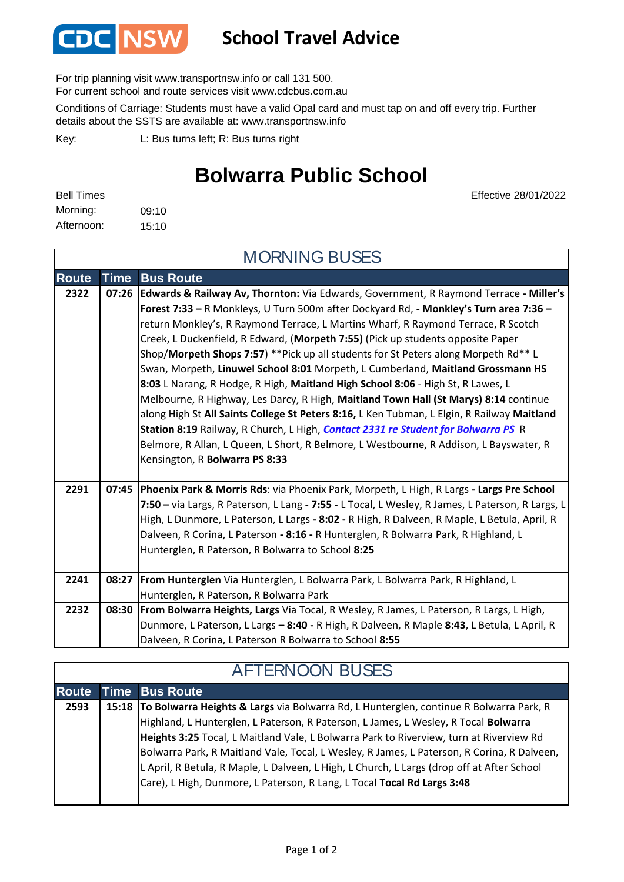

### **School Travel Advice**

For trip planning visit www.transportnsw.info or call 131 500.

For current school and route services visit www.cdcbus.com.au

Conditions of Carriage: Students must have a valid Opal card and must tap on and off every trip. Further details about the SSTS are available at: www.transportnsw.info

L: Bus turns left; R: Bus turns right Key:

## **Bolwarra Public School**

| <b>Bell Times</b> |       |
|-------------------|-------|
| Morning:          | 09:10 |
| Afternoon:        | 15:10 |

Effective 28/01/2022

| <b>MORNING BUSES</b> |             |                                                                                                  |  |
|----------------------|-------------|--------------------------------------------------------------------------------------------------|--|
| <b>Route</b>         | <b>Time</b> | <b>Bus Route</b>                                                                                 |  |
| 2322                 | 07:26       | Edwards & Railway Av, Thornton: Via Edwards, Government, R Raymond Terrace - Miller's            |  |
|                      |             | Forest 7:33 - R Monkleys, U Turn 500m after Dockyard Rd, - Monkley's Turn area 7:36 -            |  |
|                      |             | return Monkley's, R Raymond Terrace, L Martins Wharf, R Raymond Terrace, R Scotch                |  |
|                      |             | Creek, L Duckenfield, R Edward, (Morpeth 7:55) (Pick up students opposite Paper                  |  |
|                      |             | Shop/Morpeth Shops 7:57) **Pick up all students for St Peters along Morpeth Rd** L               |  |
|                      |             | Swan, Morpeth, Linuwel School 8:01 Morpeth, L Cumberland, Maitland Grossmann HS                  |  |
|                      |             | 8:03 L Narang, R Hodge, R High, Maitland High School 8:06 - High St, R Lawes, L                  |  |
|                      |             | Melbourne, R Highway, Les Darcy, R High, Maitland Town Hall (St Marys) 8:14 continue             |  |
|                      |             | along High St All Saints College St Peters 8:16, L Ken Tubman, L Elgin, R Railway Maitland       |  |
|                      |             | Station 8:19 Railway, R Church, L High, Contact 2331 re Student for Bolwarra PS R                |  |
|                      |             | Belmore, R Allan, L Queen, L Short, R Belmore, L Westbourne, R Addison, L Bayswater, R           |  |
|                      |             | Kensington, R Bolwarra PS 8:33                                                                   |  |
|                      |             |                                                                                                  |  |
| 2291                 | 07:45       | Phoenix Park & Morris Rds: via Phoenix Park, Morpeth, L High, R Largs - Largs Pre School         |  |
|                      |             | 7:50 - via Largs, R Paterson, L Lang - 7:55 - L Tocal, L Wesley, R James, L Paterson, R Largs, L |  |
|                      |             | High, L Dunmore, L Paterson, L Largs - 8:02 - R High, R Dalveen, R Maple, L Betula, April, R     |  |
|                      |             | Dalveen, R Corina, L Paterson - 8:16 - R Hunterglen, R Bolwarra Park, R Highland, L              |  |
|                      |             | Hunterglen, R Paterson, R Bolwarra to School 8:25                                                |  |
|                      |             |                                                                                                  |  |
| 2241                 |             | 08:27 From Hunterglen Via Hunterglen, L Bolwarra Park, L Bolwarra Park, R Highland, L            |  |
|                      |             | Hunterglen, R Paterson, R Bolwarra Park                                                          |  |
| 2232                 |             | 08:30 From Bolwarra Heights, Largs Via Tocal, R Wesley, R James, L Paterson, R Largs, L High,    |  |
|                      |             | Dunmore, L Paterson, L Largs - 8:40 - R High, R Dalveen, R Maple 8:43, L Betula, L April, R      |  |
|                      |             | Dalveen, R Corina, L Paterson R Bolwarra to School 8:55                                          |  |

#### **Route Time Bus Route 2593 15:18 To Bolwarra Heights & Largs** via Bolwarra Rd, L Hunterglen, continue R Bolwarra Park, R Highland, L Hunterglen, L Paterson, R Paterson, L James, L Wesley, R Tocal **Bolwarra Heights 3:25** Tocal, L Maitland Vale, L Bolwarra Park to Riverview, turn at Riverview Rd Bolwarra Park, R Maitland Vale, Tocal, L Wesley, R James, L Paterson, R Corina, R Dalveen, L April, R Betula, R Maple, L Dalveen, L High, L Church, L Largs (drop off at After School Care), L High, Dunmore, L Paterson, R Lang, L Tocal **Tocal Rd Largs 3:48**

#### AFTERNOON BUSES